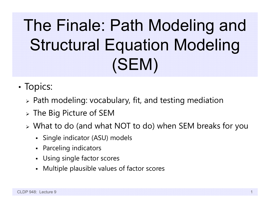# The Finale: Path Modeling and Structural Equation Modeling (SEM)

- •• Topics:
	- Path modeling: vocabulary, fit, and testing mediation
	- $\triangleright$  The Big Picture of SEM
	- What to do (and what NOT to do) when SEM breaks for you
		- Single indicator (ASU) models
		- Parceling indicators
		- Using single factor scores
		- Multiple plausible values of factor scores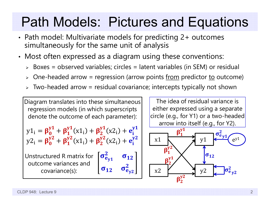#### Path Models: Pictures and Equations

- • Path model: Multivariate models for predicting 2+ outcomes simultaneously for the same unit of analysis
- • Most often expressed as a diagram using these conventions:
	- Boxes = observed variables; circles = latent variables (in SEM) or residual
	- > One-headed arrow = regression (arrow points <u>from</u> predictor <u>to</u> outcome)
	- $\triangleright$  Two-headed arrow = residual covariance; intercepts typically not shown

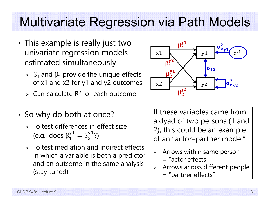#### Multivariate Regression via Path Models

- • $\bm{\cdot}$  This example is really just two univariate regression models estimated simultaneously
	- $\triangleright$  β<sub>1</sub> and β<sub>2</sub> provide the unique effects of x1 and x2 for y1 and y2 outcomes
	- $\triangleright$  Can calculate R<sup>2</sup> for each outcome
- •• So why do both at once?
	- $>$  To test differences in effect size (e.g., does  $\beta_1^y$  $J_1^\text{y1}=\beta_2^\text{y1}$ ?)
	- $\triangleright$  To test mediation and indirect effects, in which a variable is both a predictor and an outcome in the same analysis (stay tuned)



If these variables came from a dyad of two persons (1 and 2), this could be an example of an "actor–partner model"

- $\blacktriangleright$  Arrows within same person
	- $=$  "actor effects"
- ➤ Arrows across different people
	- = "partner effects"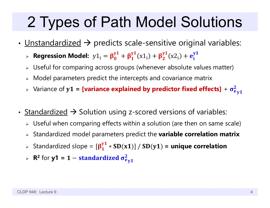### 2 Types of Path Model Solutions

- <u>Unstandardized</u>  $\rightarrow$  predicts scale-sensitive original variables:
	- $\triangleright$  **Regression Model:**  $\mathrm{y1}_{\mathrm{i}} = \beta^{\mathrm{y}}_{\mathrm{0}}$  $\frac{y_1}{0} + \beta_1^{y_1}(x_1) + \beta_2^{y_1}(x_2) + e_i^{y_1}$
	- $\triangleright$  Useful for comparing across groups (whenever absolute values matter)
	- $\triangleright$  Model parameters predict the intercepts and covariance matrix
	- **>** Variance of  $y1$  = [variance explained by predictor fixed effects] +  $\sigma_e^2$  $\frac{2}{6}$ y1
- Standardized  $\rightarrow$  Solution using z-scored versions of variables:
	- $\triangleright$  Useful when comparing effects within a solution (are then on same scale)
	- Standardized model parameters predict the **variable correlation matrix**
	- > Standardized slope =  $[\beta_1^{y1} * SD(x1)] / SD(y1)$  = unique correlation
	- $\triangleright$  **R**<sup>2</sup> for **y1** = **1 standardized**  $\sigma_e^2$ 2<br>e y 1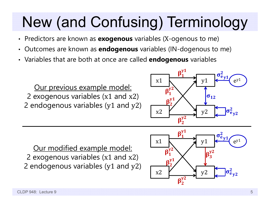# New (and Confusing) Terminology

- Predictors are known as **exogenous** variables ( X-ogenous to me)
- •Outcomes are known as **endogenous** variables (IN-dogenous to me)
- Variables that are both at once are called **endogenous** variables

Our previous example model: 2 exogenous variables (x1 and x2 ) 2 endogenous variables (y<sup>1</sup> and y<sup>2</sup> )



Our modified example model: 2 exogenous variables (x1 and x2 ) 2 endogenous variables (y<sup>1</sup> and y<sup>2</sup> )

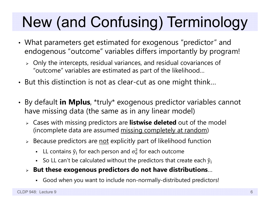# New (and Confusing) Terminology

- • What parameters get estimated for exogenous "predictor" and endogenous "outcome" variables differs importantly by program!
	- $\triangleright$  Only the intercepts, residual variances, and residual covariances of "outcome" variables are estimated as part of the likelihood…
- • $\bm{\cdot}$  But this distinction is not as clear-cut as one might think…
- • By default **in Mplus**, \*truly\* exogenous predictor variables cannot have missing data (the same as in any linear model)
	- Cases with missing predictors are **listwise deleted** out of the model (incomplete data are assumed missing completely at random)
	- $\triangleright$  Because predictors are <u>not</u> explicitly part of likelihood function
		- n **-** LL contains  $\hat{y}_i$  for each person and  $\sigma_e^2$  $<sup>2</sup>$  for each outcome</sup>
		- So LL can't be calculated without the predictors that create each  $\hat{y}_i$
	- **But these exogenous predictors do not have distributions** …
		- Good when you want to include non-normally-distributed predictors!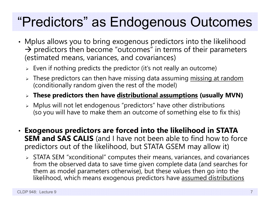#### "Predictors" as Endogenous Outcomes

- • Mplus allows you to bring exogenous predictors into the likelihood  $\rightarrow$  predictors then become "outcomes" in terms of their parameters (estimated means, variances, and covariances)
	- $\triangleright\;$  Even if nothing predicts the predictor (it's not really an outcome)
	- $\triangleright$  These predictors can then have missing data assuming <u>missing at random</u> (conditionally random given the rest of the model)
	- **These predictors then have distributional assumptions (usually MVN)**
	- $\triangleright$  Mplus will not let endogenous "predictors" have other distributions (so you will have to make them an outcome of something else to fix this)
- • **Exogenous predictors are forced into the likelihood in STATA SEM and SAS CALIS** (and I have not been able to find how to force predictors out of the likelihood, but STATA GSEM may allow it)
	- $\triangleright$  STATA SEM "xconditional" computes their means, variances, and covariances from the observed data to save time given complete data (and searches for them as model parameters otherwise), but these values then go into the likelihood, which means exogenous predictors have assumed distributions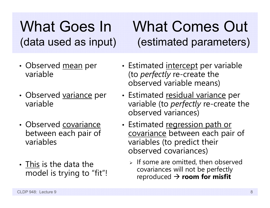#### What Goes In What Comes Out (data used as input) (estimated parameters)

- •• Observed <u>mean</u> per variable
- •• Observed variance per variable
- Observed covariance between each pair of variables
- This is the data the model is trying to "fit"!
- •• Estimated <u>intercept</u> per variable (to *perfectly* re-create the observed variable means)
- •• Estimated <u>residual variance</u> per variable (to *perfectly* re-create the observed variances)
- •• Estimated regression path or covariance between each pair of variables (to predict their observed covariances)
	- $\triangleright$  If some are omitted, then observed covariances will not be perfectly reproduced **room for misfit**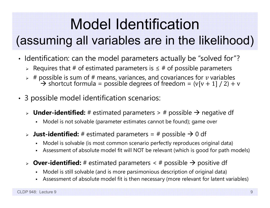## Model Identification

#### (assuming all variables are in the likelihood)

- • $\bm{\cdot}$  Identification: can the model parameters actually be "solved for"?
	- > Requires that # of estimated parameters is ≤ # of possible parameters
	- $\triangleright$  # possible is sum of # means, variances, and covariances for  $v$  variables  $\rightarrow$  shortcut formula = possible degrees of freedom = (v[v + 1] / 2) + v
- • 3 possible model identification scenarios:
	- > **Under-identified:** # estimated parameters > # possible → negative df
		- Model is not solvable (parameter estimates cannot be found); game over
	- $\triangleright$  **Just-identified:** # estimated parameters = # possible  $\rightarrow$  0 df
		- Model is solvable (is most common scenario perfectly reproduces original data)
		- n Assessment of absolute model fit will NOT be relevant (which is good for path models)
	- > **Over-identified:** # estimated parameters < # possible → positive df
		- Model is still solvable (and is more parsimonious description of original data)
		- Assessment of absolute model fit is then necessary (more relevant for latent variables)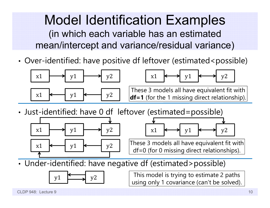#### Model Identification Examples (in which each variable has an estimated mean/intercept and variance/residual variance)

•• Over-identified: have positive df leftover (estimated<possible)



•Just-identified: have 0 df leftover (estimated=possible)





These 3 models all have equivalent fit with df=0 (for 0 missing direct relationships).

•Under-identified: have negative df (estimated>possible)



 $y1 \longrightarrow y2$  This model is trying to estimate 2 paths using only 1 covariance (can't be solved).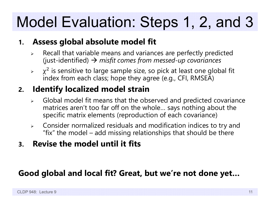## Model Evaluation: Steps 1, 2, and 3

#### **1.Assess global absolute model fit**

- $\blacktriangleright$  $\triangleright$  Recall that variable means and variances are perfectly predicted (just-identified) *misfit comes from messed-up covariances*
- ➤  $\chi^2$  is sensitive to large sample size, so pick at least one global fit index from each class; hope they agree (e.g., CFI, RMSEA)

#### **2. Identify localized model strain**

- $\triangleright$  Global model fit means that the observed and predicted covariance matrices aren't too far off on the whole… says nothing about the specific matrix elements (reproduction of each covariance)
- $\blacktriangleright$  Consider normalized residuals and modification indices to try and "fix" the model – add missing relationships that should be there
- **3. Revise the model until it fits**

#### **Good global and local fit? Great, but we're not done yet…**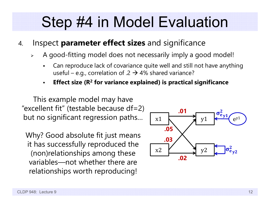### Step #4 in Model Evaluation

- 4. Inspect **parameter effect sizes** and significance
	- ➤ A good-fitting model does not necessarily imply a good model!
		- F Can reproduce lack of covariance quite well and still not have anything useful – e.g., correlation of .2  $\rightarrow$  4% shared variance?
		- **Effect size (R 2 for variance explained) is practical significance**

This example model may have "excellent fit" (testable because  $df=2$ ) but no significant regression paths…

Why? Good absolute fit just means it has successfully reproduced the (non)relationships among these variables—not whether there are relationships worth reproducing!

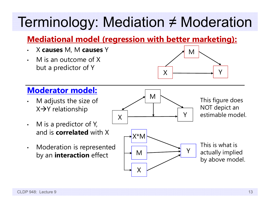#### Terminology: Mediation ≠ Moderation

#### **Mediational model (regression with better marketing):**

- •X **causes** M, M **causes** Y
- • M is an outcome of X but a predictor of Y



#### **Moderator model:**

- • M adjusts the size of X→Y relationship
- • M is a predictor of Y, and is **correlated** with X
- • Moderation is represented by an **interaction** effect

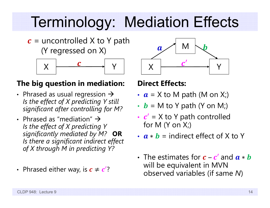### Terminology: Mediation Effects

 $\boldsymbol{c}$  = uncontrolled X to Y path (Y regressed on X)



#### **The big question in mediation:**

- Phrased as usual regression  $\rightarrow$ *Is the effect of X predicting Y still significant after controlling for M?*
- Phrased as "mediation"  $\rightarrow$ *Is the effect of X predicting Y significantly mediated by M?* **OR** *Is there a significant indirect effect of X through M in predicting Y?*
- Phrased either way, is  $\boldsymbol{c} \neq \boldsymbol{c}' ?$



#### **Direct Effects:**

- $a$  = X to M path (M on X;)
- $\bm{b}$  = M to Y path (Y on M;)
- ••  $c'$  = X to Y path controlled for M  $(Y \text{ on } X_i)$
- $\boldsymbol{a} * \boldsymbol{b}$  = indirect effect of X to Y
- The estimates for  $\boldsymbol{c}$   $\boldsymbol{c}^\prime$  and  $\boldsymbol{a}$   $\ast$   $\boldsymbol{b}$ will be equivalent in MVN observed variables (if same *N* )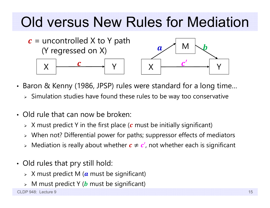### Old versus New Rules for Mediation



- • Baron & Kenny (1986, JPSP) rules were standard for a long time…
	- $\triangleright$  Simulation studies have found these rules to be way too conservative
- Old rule that can now be broken:
	- $\triangleright$   $\,$  X must predict Y in the first place ( $\,c$  must be initially significant)
	- When not? Differential power for paths; suppressor effects of mediators
	- $\triangleright$  Mediation is really about whether  $\boldsymbol{c} \neq \boldsymbol{c}'$ , not whether each is significant
- • Old rules that pry still hold:
	- $\triangleright$   $\,$  X must predict M ( $\,$ a must be significant)
	- $\triangleright$   $\,$  M must predict Y ( $\bm{b}$  must be significant)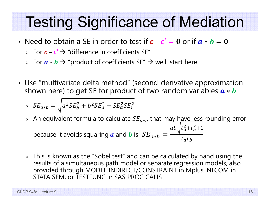- Need to obtain a SE in order to test if  $\bm{c} \bm{c}' = \bm{0}$  or if  $\bm{a} * \bm{b} = \bm{0}$ 
	- $\triangleright$  For  $\boldsymbol{c}$   $\boldsymbol{c}'$   $\rightarrow$  "difference in coefficients SE"
	- ► For  $\bm{a} \ast \bm{b}$   $\bm{\rightarrow}$  "product of coefficients SE"  $\bm{\rightarrow}$  we'll start here
- • Use "multivariate delta method" (second-derivative approximation shown here) to get SE for product of two random variables  $\bm{a} * \bm{b}$

$$
\Rightarrow SE_{a*b} = \sqrt{a^2 SE_b^2 + b^2 SE_a^2 + SE_a^2 SE_b^2}
$$

- ≻ An equivalent formula to calculate  $SE_{a*b}$  that may h<u>ave less</u> rounding error because it avoids squaring  $\boldsymbol{a}$  and  $\boldsymbol{b}$  is  $\ SE_{a*b}$ ൌ  $ab_{\gamma}\left(t_a^2+t_b^2+1\right)$  $t_a t_b$
- $\triangleright$  This is known as the "Sobel test" and can be calculated by hand using the results of a simultaneous path model or separate regression models, also provided through MODEL INDIRECT/CONSTRAINT in Mplus, NLCOM in STATA SEM, or TESTFUNC in SAS PROC CALIS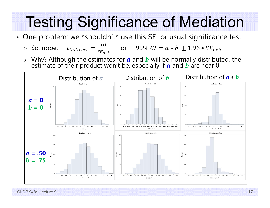•• One problem: we \*shouldn't\* use this SE for usual significance test

▶ So, nope: 
$$
t_{indirect} = \frac{a*b}{s_{a*b}}
$$
 or 95%  $CI = a*b ± 1.96 * SE_{a*b}$ 

 $\triangleright$  Why? Although the estimates for  $\boldsymbol{a}$  and  $\boldsymbol{b}$  will be normally distributed, the estimate of their product won't be, especially if  $\boldsymbol{a}$  and  $\boldsymbol{b}$  are near 0

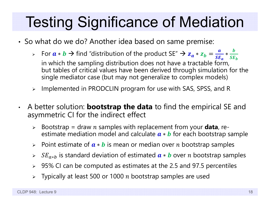- •• So what do we do? Another idea based on same premise:
	- ► For  $a * b \to$  find "distribution of the product SE"  $\to$   $z_a * z_b$ ൌ а  $SE_{\bm{a}}$ in which the sampling distribution does not have a tractable form, ∗  $\bm{b}$  $\boldsymbol{SE_{b}}$ but tables of critical values have been derived through simulation for the single mediator case (but may not generalize to complex models)
	- ➤ Implemented in PRODCLIN program for use with SAS, SPSS, and R
- $\bullet$  A better solution: **bootstrap the data** to find the empirical SE and asymmetric CI for the indirect effect
	- > Bootstrap = draw n samples with replacement from your **data**, reestimate mediation model and calculate  $\bm{a} * \bm{b}$  for each bootstrap sample
	- ► Point estimate of  $\boldsymbol{a} * \boldsymbol{b}$  is mean or median over  $n$  bootstrap samples
	- ►  $SE_{a*b}$  is standard deviation of estimated  $\boldsymbol{a} \ast \boldsymbol{b}$  over n bootstrap samples
	- $\triangleright$   $\,$  95% CI can be computed as estimates at the 2.5 and 97.5 percentiles
	- $\triangleright$  Typically at least 500 or 1000  $n$  bootstrap samples are used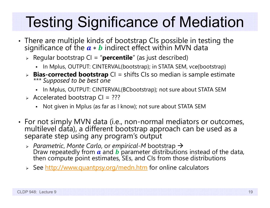- •• There are multiple kinds of bootstrap CIs possible in testing the significance of the  $a * b$  indirect effect within MVN data  $a * b$  indirect effect within MVN data
	- Regular bootstrap CI = "**percentile**" (as just described)
		- In Mplus, OUTPUT: CINTERVAL(bootstrap); in STATA SEM, vce(bootstrap)
	- **Bias-corrected bootstrap** CI = shifts CIs so median is sample estimate *\*\*\* Supposed to be best one*
		- In Mplus, OUTPUT: CINTERVAL(BCbootstrap); not sure about STATA SEM
	- Accelerated bootstrap CI = ???
		- Not given in Mplus (as far as I know); not sure about STATA SEM
- • For not simply MVN data (i.e., non-normal mediators or outcomes, multilevel data), a different bootstrap approach can be used as a separate step using any program's output
	- *Parametric*, *Monte Carlo*, or *empirical-M* bootstrap Draw repeatedly from  $\boldsymbol{a}$  and  $\boldsymbol{b}$ then compute point estimates, SEs, and CIs from those distributions
	- > See <u>http://www.quantpsy.org/medn.htm</u> for online calculators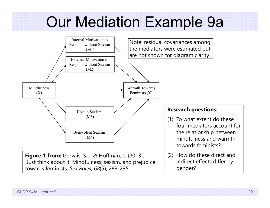### Our Mediation Example 9a

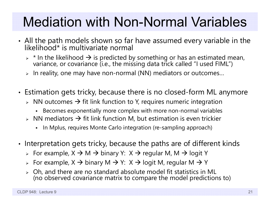#### Mediation with Non-Normal Variables

- •• All the path models shown so far have assumed every variable in the likelihood\* is multivariate normal
	- $\triangleright$  \* In the likelihood  $\rightarrow$  is predicted by something or has an estimated mean,<br>variance, or covariance (i.e., the missing data trick called "I used FIML")
	- $\triangleright$  In reality, one may have non-normal (NN) mediators or outcomes...
- • Estimation gets tricky, because there is no closed-form ML anymore
	- $\triangleright$   $\,$  NN outcomes  $\rightarrow$  fit link function to Y, requires numeric integration
		- Becomes exponentially more complex with more non-normal variables
	- $\triangleright$  NN mediators  $\rightarrow$  fit link function M, but estimation is even trickier
		- In Mplus, requires Monte Carlo integration (re-sampling approach)
- •• Interpretation gets tricky, because the paths are of different kinds
	- $\triangleright\;$  For example, X  $\Rightarrow$  M  $\Rightarrow$  binary Y: X  $\Rightarrow$  regular M, M  $\Rightarrow$  logit Y
	- $\triangleright\;$  For example, X  $\rightarrow$  binary M  $\rightarrow$  Y:  $\,\mathrm{X} \rightarrow$  logit M, regular M  $\rightarrow$  Y
	- Oh, and there are no standard absolute model fit statistics in ML (no observed covariance matrix to compare the model predictions to)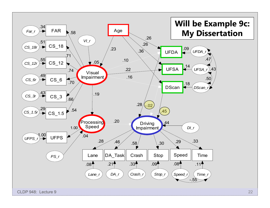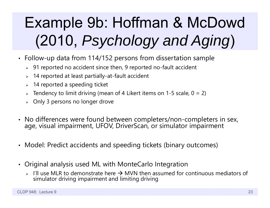# Example 9b: Hoffman & McDowd (2010, *Psychology and Aging* )

- Follow-up data from 114/152 persons from dissertation sample
	- $\triangleright$   $\,$  91 reported no accident since then, 9 reported no-fault accident
	- $\triangleright$  14 reported at least partially-at-fault accident
	- $\triangleright$   $\,$  14 reported a speeding ticket
	- $\triangleright$  Tendency to limit driving (mean of 4 Likert items on 1-5 scale, 0 = 2)
	- $\triangleright$  Only 3 persons no longer drove
- No differences were found between completers/non-completers in sex, age, visual impairment, UFOV, DriverScan, or simulator impairment
- Model: Predict accidents and speeding tickets (binary outcomes)
- Original analysis used ML with MonteCarlo Integration
	- $\triangleright$  I'll use MLR to demonstrate here  $\rightarrow$  MVN then assumed for continuous mediators of simulator driving impairment and limiting driving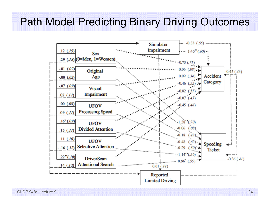#### Path Model Predicting Binary Driving Outcomes



CLDP 948: Lecture 9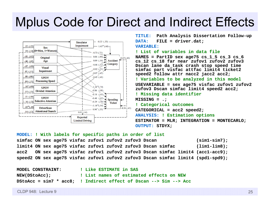#### Mplus Code for Direct and Indirect Effects



**TITLE: Path Analysis Dissertation Follow-up DATA: FILE = driver.dat; VARIABLE:! List of variables in data fileNAMES = PartID sex age75 cs\_1\_5 cs\_3 cs\_6 cs\_12 cs\_18 far near zufov1 zufov2 zufov3 Dscan lane da\_task crash stop speed time simfac part visfac attfac limit4 ticket2 speed2 follow attr nacc2 jacc2 acc2; ! Variables to be analyzed in this model USEVARIABLE = sex age75 visfac zufov1 zufov2 zufov3 Dscan simfac limit4 speed2 acc2; ! Missing data identifier MISSING = .; ! Categorical outcomes CATEGORICAL = acc2 speed2; ANALYSIS: ! Estimation options ESTIMATOR = MLR; INTEGRATION = MONTECARLO; OUTPUT: STDYX;**

**MODEL: ! With labels for specific paths in order of list simfac ON sex age75 visfac zufov1 zufov2 zufov3 Dscan (sim1-sim7); limit4 ON sex age75 visfac zufov1 zufov2 zufov3 Dscan simfac (lim1-lim8); acc2 ON sex age75 visfac zufov1 zufov2 zufov3 Dscan simfac limit4 (acc1-acc9); speed2 ON sex age75 visfac zufov1 zufov2 zufov3 Dscan simfac limit4 (spd1-spd9);**

| <b>MODEL CONSTRAINT:</b> | ! Like ESTIMATE in SAS                                            |
|--------------------------|-------------------------------------------------------------------|
| NEW(DStoAcc);            | ! List names of estimated effects on NEW                          |
|                          | DStoAcc = sim7 * acc8; ! Indirect effect of Dscan --> Sim --> Acc |

CLDP 948: Lecture 9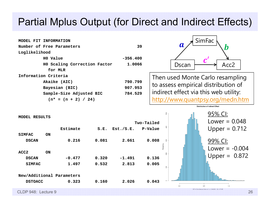#### Partial Mplus Output (for Direct and Indirect Effects)

| Number of Free Parameters    | 39         |  |
|------------------------------|------------|--|
| Loglikelihood                |            |  |
| HO Value                     | $-356.400$ |  |
| HO Scaling Correction Factor | 1,0066     |  |
| for MLR                      |            |  |
| Information Criteria         |            |  |
| Akaike (AIC)                 | 790.799    |  |
| Bayesian (BIC)               | 907.953    |  |
| Sample-Size Adjusted BIC     | 784.529    |  |
| $(n* = (n + 2) / 24)$        |            |  |
|                              |            |  |

**MODEL FIT INFORMATION**



Then used Monte Carlo resampling to assess empirical distribution of indirect effect via this web utility: http://www.quantpsy.org/medn.htm

**Distribution of Indirect Effect** 

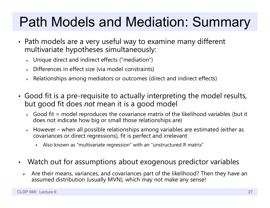#### Path Models and Mediation: Summary

- • Path models are a very useful way to examine many different multivariate hypotheses simultaneously:
	- Unique direct and indirect effects ("mediation")
	- Differences in effect size (via model constraints)
	- $\triangleright$  Relationships among mediators or outcomes (direct and indirect effects)
- • Good fit is a pre-requisite to actually interpreting the model results, but good fit does *not* mean it is a good model
	- $\triangleright$  Good fit = model reproduces the covariance matrix of the likelihood variables (but it does not indicate how big or small those relationships are)
	- $\blacktriangleright$  However – when all possible relationships among variables are estimated (either as covariances or direct regressions), fit is perfect and irrelevant
		- Also known as "multivariate regression" with an "unstructured R matrix"
- $\bullet$  Watch out for assumptions about exogenous predictor variables
	- $\blacktriangleright$  Are their means, variances, and covariances part of the likelihood? Then they have an assumed distribution (usually MVN), which may not make any sense!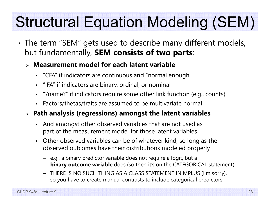# Structural Equation Modeling (SEM)

• The term "SEM" gets used to describe many different models, but fundamentally, **SEM consists of two parts**:

#### **Measurement model for each latent variable**

- "CFA" if indicators are continuous and "normal enough"
- $\blacksquare$ "IFA" if indicators are binary, ordinal, or nominal
- "?name?" if indicators require some other link function (e.g., counts)
- Factors/thetas/traits are assumed to be multivariate normal

#### **Path analysis (regressions) amongst the latent variables**

- $\blacksquare$  And amongst other observed variables that are not used as part of the measurement model for those latent variables
- Other observed variables can be of whatever kind, so long as the observed outcomes have their distributions modeled properly
	- e.g., a binary predictor variable does not require a logit, but a **binary outcome variable** does (so then it's on the CATEGORICAL statement)
	- THERE IS NO SUCH THING AS A CLASS STATEMENT IN MPLUS (I'm sorry), so you have to create manual contrasts to include categorical predictors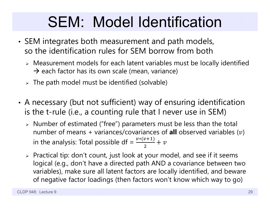### SEM: Model Identification

- • SEM integrates both measurement and path models, so the identification rules for SEM borrow from both
	- Measurement models for each latent variables must be locally identified  $\rightarrow$  each factor has its own scale (mean, variance)
	- $\triangleright$  The path model must be identified (solvable)
- • A necessary (but not sufficient) way of ensuring identification is the t-rule (i.e., a counting rule that I never use in SEM)
	- Number of estimated ("free") parameters must be less than the total number of means + variances/covariances of **all** observed variables ( ) in the analysis: Total possible df =  $\frac{v*(v+1)}{2}$  $+ \; v$
	- $\triangleright$  Practical tip: don't count, just look at your model, and see if it seems logical (e.g., don't have a directed path AND a covariance between two variables), make sure all latent factors are locally identified, and beware of negative factor loadings (then factors won't know which way to go)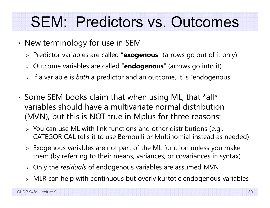### SEM: Predictors vs. Outcomes

- • $\bm{\cdot}$  New terminology for use in SEM:
	- Predictor variables are called "**exogenous**" (arrows go out of it only)
	- Outcome variables are called "**endogenous**" (arrows go into it)
	- If a variable is *both* a predictor and an outcome, it is "endogenous"
- •• Some SEM books claim that when using ML, that \*all\* variables should have a multivariate normal distribution (MVN), but this is NOT true in Mplus for three reasons:
	- $\triangleright$  You can use ML with link functions and other distributions (e.g., CATEGORICAL tells it to use Bernoulli or Multinomial instead as needed)
	- $\triangleright$  Exogenous variables are not part of the ML function unless you make them (by referring to their means, variances, or covariances in syntax)
	- Only the *residuals* of endogenous variables are assumed MVN
	- $\triangleright$   $\,$  MLR can help with continuous but overly kurtotic endogenous variables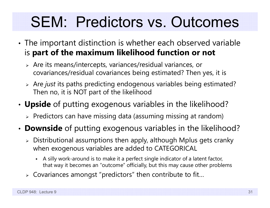## SEM: Predictors vs. Outcomes

- • The important distinction is whether each observed variable is **part of the maximum likelihood function or not**
	- $\triangleright$  Are its means/intercepts, variances/residual variances, or covariances/residual covariances being estimated? Then yes, it is
	- Are *just* its paths predicting endogenous variables being estimated? Then no, it is NOT part of the likelihood
- • **Upside** of putting exogenous variables in the likelihood?
	- $\triangleright$  Predictors can have missing data (assuming missing at random)
- **Downside** of putting exogenous variables in the likelihood?
	- $\triangleright$  Distributional assumptions then apply, although Mplus gets cranky  $\blacksquare$ when exogenous variables are added to CATEGORICAL
		- n A silly work-around is to make it a perfect single indicator of a latent factor, that way it becomes an "outcome" officially, but this may cause other problems
	- $\triangleright$  Covariances amongst "predictors" then contribute to fit...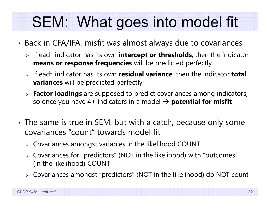## SEM: What goes into model fit

- • Back in CFA/IFA, misfit was almost always due to covariances
	- If each indicator has its own **intercept or thresholds**, then the indicator **means or response frequencies** will be predicted perfectly
	- If each indicator has its own **residual variance**, then the indicator **total variances** will be predicted perfectly
	- **Factor loadings** are supposed to predict covariances among indicators, so once you have 4+ indicators in a model **potential for misfit**
- • The same is true in SEM, but with a catch, because only some covariances "count" towards model fit
	- $\triangleright$  Covariances amongst variables in the likelihood COUNT
	- Covariances for "predictors" (NOT in the likelihood) with "outcomes" (in the likelihood) COUNT
	- Covariances amongst "predictors" (NOT in the likelihood) do NOT count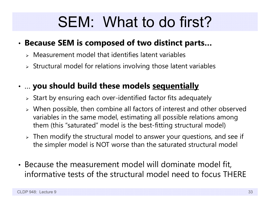## SEM: What to do first?

#### •**Because SEM is composed of two distinct parts…**

- $\triangleright$  Measurement model that identifies latent variables
- $\triangleright$  Structural model for relations involving those latent variables

#### • … **you should build these models sequentially**

- $\triangleright$  Start by ensuring each over-identified factor fits adequately
- When possible, then combine all factors of interest and other observed variables in the same model, estimating all possible relations among them (this "saturated" model is the best-fitting structural model)
- $\triangleright$  Then modify the structural model to answer your questions, and see if the simpler model is NOT worse than the saturated structural model
- Because the measurement model will dominate model fit, informative tests of the structural model need to focus THERE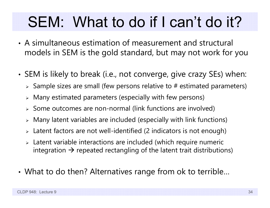## SEM: What to do if I can't do it?

- A simultaneous estimation of measurement and structural models in SEM is the gold standard, but may not work for you
- • SEM is likely to break (i.e., not converge, give crazy SEs) when:
	- $\triangleright$  Sample sizes are small (few persons relative to # estimated parameters)
	- Many estimated parameters (especially with few persons)
	- $\triangleright$  Some outcomes are non-normal (link functions are involved)
	- $\triangleright$  Many latent variables are included (especially with link functions)
	- $\triangleright$  Latent factors are not well-identified (2 indicators is not enough)
	- Latent variable interactions are included (which require numeric integration  $\bm{\rightarrow}$  repeated rectangling of the latent trait distributions)
- •What to do then? Alternatives range from ok to terrible…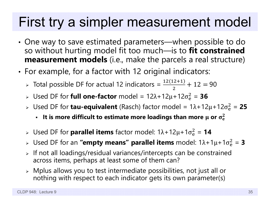#### First try a simpler measurement model

- • One way to save estimated parameters—when possible to do so without hurting model fit too much—is to **fit constrained measurement models** (i.e., make the parcels a real structure)
- • For example, for a factor with 12 original indicators:
	- > Total possible DF for actual 12 indicators =  $\frac{12(12+1)}{2}$  $+12 = 90$
	- » Used DF for **full one-factor** model = 12λ+12μ+12σ<sup>2</sup>e  $\frac{2}{9}$  = 36
	- » Used DF for **tau-equivalent** (Rasch) factor model = 1λ+12μ+12σ<sup>2</sup>e  $\frac{2}{9}$  = 25
		- $\cdot$  It is more difficult to estimate more loadings than more  $\mu$  or  $\sigma_{\rm e}^2$  $\mathbf 2$
	- » Used DF for **parallel items** factor model: 1λ+12μ+1σ<sup>2</sup>  $\frac{2}{9}$  = **14**
	- » Used DF for an **"empty means" parallel items** model: 1λ+1μ+1σ<sup>2</sup>  $^{2}_{6}$  = 3
	- $\triangleright$  If not all loadings/residual variances/intercepts can be constrained across items, perhaps at least some of them can?
	- $\triangleright$  Mplus allows you to test intermediate possibilities, not just all or nothing with respect to each indicator gets its own parameter(s)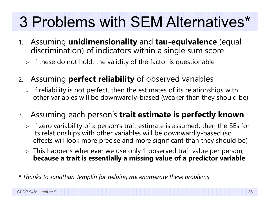# 3 Problems with SEM Alternatives\*

- 1. Assuming **unidimensionality** and **tau-equivalence** (equal discrimination) of indicators within a single sum score
	- $\triangleright$  If these do not hold, the validity of the factor is questionable
- 2. Assuming **perfect reliability** of observed variables
	- $\triangleright$  If reliability is not perfect, then the estimates of its relationships with other variables will be downwardly-biased (weaker than they should be)
- 3. Assuming each person's **trait estimate is perfectly known**
	- $\triangleright$  If zero variability of a person's trait estimate is assumed, then the SEs for its relationships with other variables will be downwardly-based (so effects will look more precise and more significant than they should be)
	- $\triangleright$  This happens whenever we use only 1 observed trait value per person, **because a trait is essentially a missing value of a predictor variable**
- *\* Thanks to Jonathan Templin for helping me enumerate these problems*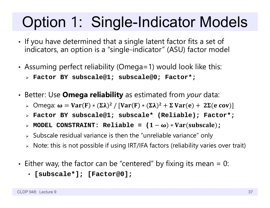## Option 1: Single-Indicator Models

- • $\bm{\cdot}$  If you have determined that a single latent factor fits a set of indicators, an option is a "single-indicator" (ASU) factor model
- • Assuming perfect reliability (Omega=1) would look like this:
	- **Factor BY subscale@1; subscale@0; Factor\*;**
- • Better: Use **Omega reliability** as estimated from *your* data:
	- $\triangleright$   $\,$  Omega:  $\bm{\omega} = \textbf{Var}(\textbf{F}) * (\bm{\Sigma} \bm{\lambda})^2$  /  $[\textbf{Var}(\textbf{F}) * (\bm{\Sigma} \bm{\lambda})^2 + \bm{\Sigma} \textbf{Var}(\textbf{e}) + \, 2 \bm{\Sigma}(\textbf{e} \textbf{ cov})]$
	- **Factor BY subscale@1; subscale\* (Reliable); Factor\*;**
	- $\triangleright$  MODEL CONSTRAINT: Reliable = (1−ω)\*Var(subscale);
	- $\triangleright$  Subscale residual variance is then the "unreliable variance" only
	- $\triangleright$   $\,$  Note: this is not possible if using IRT/IFA factors (reliability varies over trait)
- • Either way, the factor can be "centered" by fixing its mean = 0:
	- **[subscale\*]; [Factor@0];**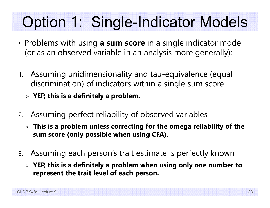# Option 1: Single-Indicator Models

- • Problems with using **a sum score** in a single indicator model (or as an observed variable in an analysis more generally):
- 1. Assuming unidimensionality and tau-equivalence (equal discrimination) of indicators within a single sum score
	- **YEP, this is a definitely a problem.**
- 2. Assuming perfect reliability of observed variables
	- **This is a problem unless correcting for the omega reliability of the sum score (only possible when using CFA).**
- 3. Assuming each person's trait estimate is perfectly known
	- **YEP, this is a definitely a problem when using only one number to represent the trait level of each person.**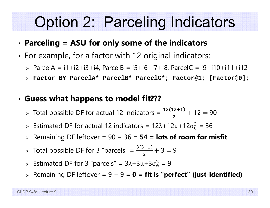### Option 2: Parceling Indicators

#### •**Parceling = ASU for only some of the indicators**

- • $\bm{\cdot}$  For example, for a factor with 12 original indicators:
	- ParcelA = i1+i2+i3+i4, ParcelB = i5+i6+i7+i8, ParcelC = i9+i10+i11+i12
	- **Factor BY ParcelA\* ParcelB\* ParcelC\*; Factor@1; [Factor@0];**

#### •**Guess what happens to model fit???**

- > Total possible DF for actual 12 indicators =  $\frac{12(12+1)}{2}$  $+12 = 90$
- > Estimated DF for actual 12 indicators = 12λ+12μ+12σ $_e^2$  $\frac{2}{9}$  = 36
- Remaining DF leftover = 90 − 36 = **54 = lots of room for misfit**
- > Total possible DF for 3 "parcels" =  $\frac{3(3+1)}{2}$ 2  $+3=9$
- > Estimated DF for 3 "parcels" =  $3\lambda + 3\mu + 3\sigma_e^2$  $^{2}_{6}$  = 9
- Remaining DF leftover = 9 − 9 = **0 = fit is "perfect" (just-identified)**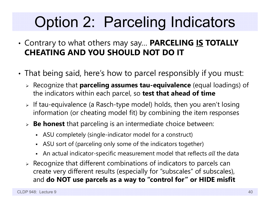## Option 2: Parceling Indicators

- • Contrary to what others may say… **PARCELING IS TOTALLY CHEATING AND YOU SHOULD NOT DO IT**
- • That being said, here's how to parcel responsibly if you must:
	- Recognize that **parceling assumes tau-equivalence** (equal loadings) of the indicators within each parcel, so **test that ahead of time**
	- $\triangleright$  If tau-equivalence (a Rasch-type model) holds, then you aren't losing information (or cheating model fit) by combining the item responses
	- **Be honest** that parceling is an intermediate choice between:
		- ASU completely (single-indicator model for a construct)
		- ASU sort of (parceling only some of the indicators together)
		- An actual indicator-specific measurement model that reflects *all* the data
	- $\triangleright$  Recognize that different combinations of indicators to parcels can create very different results (especially for "subscales" of subscales), and **do NOT use parcels as a way to "control for" or HIDE misfit**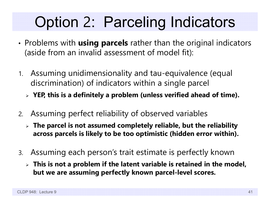## Option 2: Parceling Indicators

- • Problems with **using parcels** rather than the original indicators (aside from an invalid assessment of model fit):
- 1. Assuming unidimensionality and tau-equivalence (equal discrimination) of indicators within a single parcel
	- **YEP, this is a definitely a problem (unless verified ahead of time).**
- 2. Assuming perfect reliability of observed variables
	- **The parcel is not assumed completely reliable, but the reliability across parcels is likely to be too optimistic (hidden error within).**
- 3. Assuming each person's trait estimate is perfectly known
	- **This is not a problem if the latent variable is retained in the model, but we are assuming perfectly known parcel-level scores.**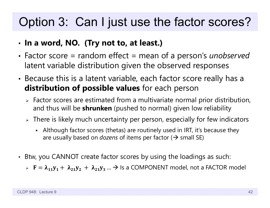#### Option 3: Can I just use the factor scores?

- •**In a word, NO. (Try not to, at least.)**
- • Factor score = random effect = mean of a person's *unobserved* latent variable distribution given the observed responses
- • Because this is a latent variable, each factor score really has a **distribution of possible values** for each person
	- $\triangleright$  Factor scores are estimated from a multivariate normal prior distribution, and thus will be **shrunken** (pushed to normal) given low reliability
	- $\triangleright$  There is likely much uncertainty per person, especially for few indicators
		- Although factor scores (thetas) are routinely used in IRT, it's because they are usually based on *dozens* of items per factor ( $\bm{\rightarrow}$  small SE)
- Btw, you CANNOT create factor scores by using the loadings as such:
	- $\triangleright$   $\mathbf{F} = \boldsymbol{\lambda}_{11} \mathbf{y}_1 + \ \boldsymbol{\lambda}_{21} \mathbf{y}_2 + \ \boldsymbol{\lambda}_{21} \mathbf{y}_3 \ldots \boldsymbol{\rightarrow}$  Is a COMPONENT model, not a FACTOR model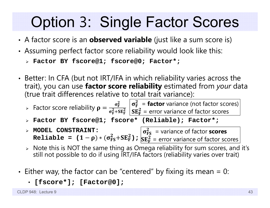### Option 3: Single Factor Scores

- •A factor score is an **observed variable** (just like a sum score is)
- • Assuming perfect factor score reliability would look like this:
	- **Factor BY fscore@1; fscore@0; Factor\*;**
- •• Better: In CFA (but not IRT/IFA in which reliability varies across the trait), you can use **factor score reliability** estimated from *your* data (true trait differences relative to total trait variance):

➤  $\triangleright$  Factor score reliability  $\rho = \frac{\sigma_F^2}{\sigma_F^2 + SE_F^2} \begin{vmatrix} \sigma_F^2 = \textbf{factor} \ \text{variance} \ \text{of} \ \text{factor} \ \text{scores} \end{vmatrix}$  $\mathbf{SE^2_F}$  = error variance of factor scores

- **Factor BY fscore@1; fscore\* (Reliable); Factor\*;**
- **MODEL CONSTRAINT:**   $\texttt{Reliable} \; = \; (1 - \rho) * (\sigma_{\texttt{FS}}^2 + \texttt{SE}_{\texttt{F}}^2)$  ;  $\sigma_{\text{FS}}^2\;$  = variance of factor **scores**  $\mathbf{SE^2_F}$  = error variance of factor scores
- $\triangleright$  Note this is NOT the same thing as Omega reliability for sum scores, and it's still not possible to do if using IRT/IFA factors (reliability varies over trait)
- •• Either way, the factor can be "centered" by fixing its mean = 0:
	- **[fscore\*]; [Factor@0];**

CLDP 948: Lecture 9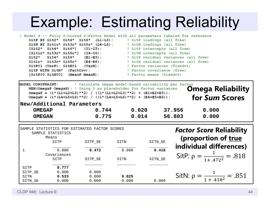#### Example: Estimating Reliability

|                                                             | ! Model 4 -- Fully Z-Scored 2-Factor Model with all parameters labeled for reference |
|-------------------------------------------------------------|--------------------------------------------------------------------------------------|
|                                                             | SitP BY Sit2* Sit4* Sit6* (L1-L3); I SitP loadings (all free)                        |
|                                                             | SitN BY Sit1r* Sit3r* Sit5r* (L4-L6); I SitN loadings (all free)                     |
|                                                             | [Sit2* Sit4* Sit6*] (I1-I3); I SitP intercepts (all free)                            |
|                                                             | [Sit1r* Sit3r* Sit5r*] (I4-I6); [SitN intercepts (all free)                          |
| $\texttt{Sit2*}$ $\texttt{Sit4*}$ $\texttt{Sit6*}$ (E1-E3); | ! SitP residual variances (all free)                                                 |
| $Sitt1r* Sitt3r* Sitt5r* (E4-E6);$                          | ! SitN residual variances (all free)                                                 |
| $\texttt{SitP@1}$ (VarP); $\texttt{SitN@1}$ (VarN);         | ! Factor variances (fixed=1)                                                         |
|                                                             | SitP WITH SitN* (FactCov); The Pactor covariance (free)                              |
| [SitP@O SitN@O] (MeanP MeanN);                              | ! Factor means (fixed=0)                                                             |

| ! Calculate omega model-based reliability per factor<br>MODEL CONSTRAINT:<br><b>Omega Reliability</b><br>NEW (OmegaP OmegaN); ! Using 1 as placeholder for factor variances<br>OmegaP = $(1*(L1+L2+L3)**2) / ((1*(L1+L2+L3)**2) + (E1+E2+E3));$<br>for Sum Scores<br>OmegaN = $(1*(L4+L5+L6)**2)$ / $((1*(L4+L5+L6)**2) + (E4+E5+E6))$ ; |                                                                                     |                         |                |                  |                |                                                                       |  |  |  |
|------------------------------------------------------------------------------------------------------------------------------------------------------------------------------------------------------------------------------------------------------------------------------------------------------------------------------------------|-------------------------------------------------------------------------------------|-------------------------|----------------|------------------|----------------|-----------------------------------------------------------------------|--|--|--|
| New/Additional Parameters<br>0.744<br><b>OMEGAP</b><br>0.775<br><b>OMEGAN</b>                                                                                                                                                                                                                                                            |                                                                                     | 0.020<br>0.014          |                | 37.956<br>56.803 | 0.000<br>0.000 |                                                                       |  |  |  |
|                                                                                                                                                                                                                                                                                                                                          | SAMPLE STATISTICS FOR ESTIMATED FACTOR SCORES<br>SAMPLE STATISTICS<br>Means<br>SITP | SITP SE                 | SITN           | SITN_SE          |                | <b>Factor Score Reliability</b><br>(proportion of true                |  |  |  |
|                                                                                                                                                                                                                                                                                                                                          | 0.000<br>Covariances<br>SITP                                                        | 0.472<br>SITP_SE        | 0.000<br>SITN  | 0.418<br>SITN_SE |                | individual differences)<br>SitP: $\rho = \frac{1}{1 + .472^2} = .818$ |  |  |  |
| SITP<br>SITP_SE<br>SITN<br>SITN SE                                                                                                                                                                                                                                                                                                       | 0.777<br>0.000<br>0.533<br>0.000                                                    | 0.000<br>0.000<br>0.000 | 0.825<br>0.000 | 0.000            |                | SitN: $\rho = \frac{1}{1 + .418^2} = .851$                            |  |  |  |

CLDP 948: Lecture 9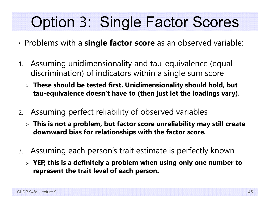## Option 3: Single Factor Scores

- •Problems with a **single factor score** as an observed variable:
- 1. Assuming unidimensionality and tau-equivalence (equal discrimination) of indicators within a single sum score
	- **These should be tested first. Unidimensionality should hold, but tau-equivalence doesn't have to (then just let the loadings vary).**
- 2. Assuming perfect reliability of observed variables
	- **This is not a problem, but factor score unreliability may still create downward bias for relationships with the factor score.**
- 3. Assuming each person's trait estimate is perfectly known
	- **YEP, this is a definitely a problem when using only one number to represent the trait level of each person.**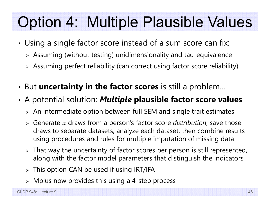## Option 4: Multiple Plausible Values

- • Using a single factor score instead of a sum score can fix:
	- $\triangleright$  Assuming (without testing) unidimensionality and tau-equivalence
	- $\triangleright$  Assuming perfect reliability (can correct using factor score reliability)
- •But **uncertainty in the factor scores** is still a problem…
- • A potential solution: *Multiple* **plausible factor score values**
	- $\triangleright$  An intermediate option between full SEM and single trait estimates
	- $\triangleright$  Generate  $x$  draws from a person's factor score *distribution*, save those draws to separate datasets, analyze each dataset, then combine results using procedures and rules for multiple imputation of missing data
	- $\triangleright$  That way the uncertainty of factor scores per person is still represented, along with the factor model parameters that distinguish the indicators
	- $\triangleright$  This option CAN be used if using IRT/IFA
	- $\triangleright$  Mplus now provides this using a 4-step process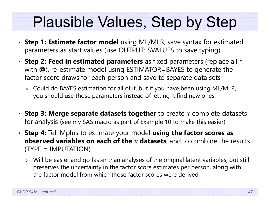## Plausible Values, Step by Step

- **Step 1: Estimate factor model** using ML/MLR, save syntax for estimated parameters as start values (use OUTPUT: SVALUES to save typing)
- **Step 2: Feed in estimated parameters** as fixed parameters (replace all **\***with **@**), re-estimate model using ESTIMATOR=BAYES to generate the factor score draws for each person and save to separate data sets
	- Could do BAYES estimation for all of it, but if you have been using ML/MLR, you should use those parameters instead of letting it find new ones
- Step 3: Merge separate datasets together to create x complete datasets for analysis (see my SAS macro as part of Example 10 to make this easier)
- **Step 4:** Tell Mplus to estimate your model **using the factor scores as observed variables on each of the datasets**, and to combine the results (TYPE = IMPUTATION)
	- $\triangleright$  Will be easier and go faster than analyses of the original latent variables, but still preserves the uncertainty in the factor score estimates per person, along with the factor model from which those factor scores were derived